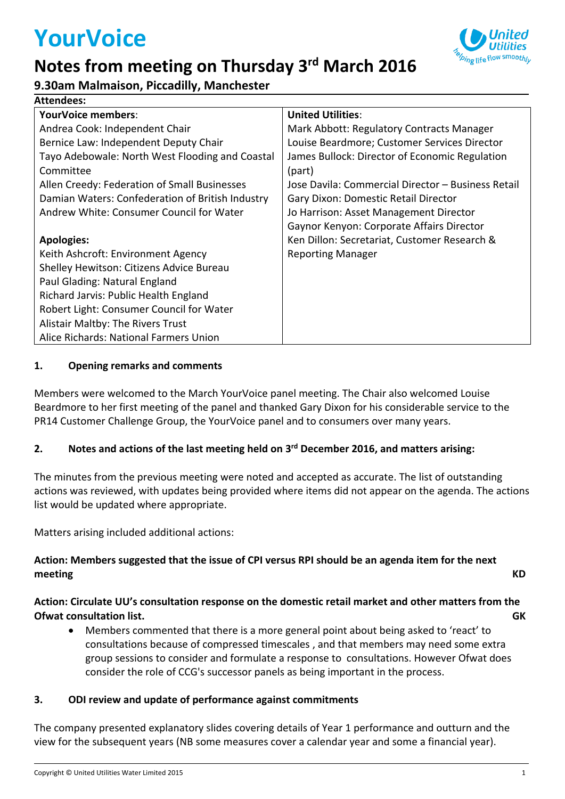# **YourVoice**

**Attendees:**

### **Notes from meeting on Thursday 3rd March 2016**



#### **9.30am Malmaison, Piccadilly, Manchester**

| Attendees.                                       |                                                    |
|--------------------------------------------------|----------------------------------------------------|
| <b>YourVoice members:</b>                        | <b>United Utilities:</b>                           |
| Andrea Cook: Independent Chair                   | Mark Abbott: Regulatory Contracts Manager          |
| Bernice Law: Independent Deputy Chair            | Louise Beardmore; Customer Services Director       |
| Tayo Adebowale: North West Flooding and Coastal  | James Bullock: Director of Economic Regulation     |
| Committee                                        | (part)                                             |
| Allen Creedy: Federation of Small Businesses     | Jose Davila: Commercial Director – Business Retail |
| Damian Waters: Confederation of British Industry | Gary Dixon: Domestic Retail Director               |
| Andrew White: Consumer Council for Water         | Jo Harrison: Asset Management Director             |
|                                                  | Gaynor Kenyon: Corporate Affairs Director          |
| <b>Apologies:</b>                                | Ken Dillon: Secretariat, Customer Research &       |
| Keith Ashcroft: Environment Agency               | <b>Reporting Manager</b>                           |
| Shelley Hewitson: Citizens Advice Bureau         |                                                    |
| Paul Glading: Natural England                    |                                                    |
| Richard Jarvis: Public Health England            |                                                    |
| Robert Light: Consumer Council for Water         |                                                    |
| Alistair Maltby: The Rivers Trust                |                                                    |
| Alice Richards: National Farmers Union           |                                                    |

#### **1. Opening remarks and comments**

Members were welcomed to the March YourVoice panel meeting. The Chair also welcomed Louise Beardmore to her first meeting of the panel and thanked Gary Dixon for his considerable service to the PR14 Customer Challenge Group, the YourVoice panel and to consumers over many years.

#### **2. Notes and actions of the last meeting held on 3 rd December 2016, and matters arising:**

The minutes from the previous meeting were noted and accepted as accurate. The list of outstanding actions was reviewed, with updates being provided where items did not appear on the agenda. The actions list would be updated where appropriate.

Matters arising included additional actions:

#### **Action: Members suggested that the issue of CPI versus RPI should be an agenda item for the next meeting KD**

#### **Action: Circulate UU's consultation response on the domestic retail market and other matters from the Ofwat consultation list. GK**

 Members commented that there is a more general point about being asked to 'react' to consultations because of compressed timescales , and that members may need some extra group sessions to consider and formulate a response to consultations. However Ofwat does consider the role of CCG's successor panels as being important in the process.

#### **3. ODI review and update of performance against commitments**

The company presented explanatory slides covering details of Year 1 performance and outturn and the view for the subsequent years (NB some measures cover a calendar year and some a financial year).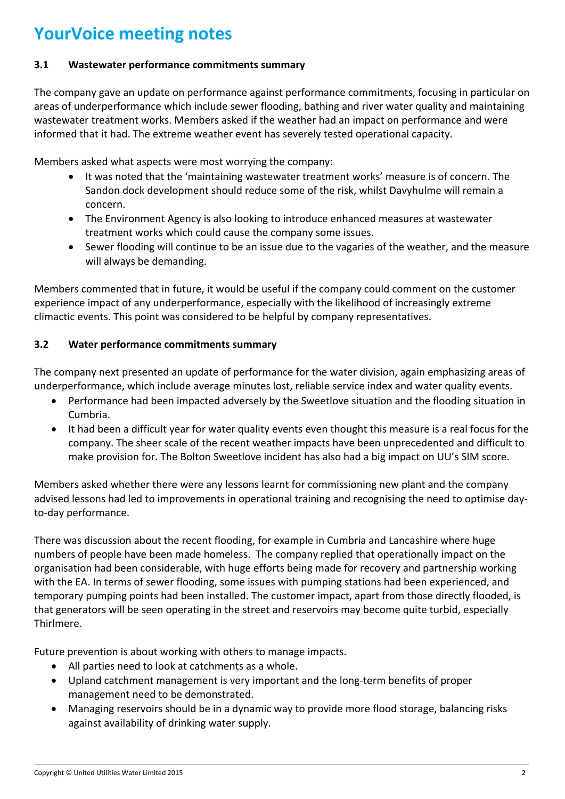#### **3.1 Wastewater performance commitments summary**

The company gave an update on performance against performance commitments, focusing in particular on areas of underperformance which include sewer flooding, bathing and river water quality and maintaining wastewater treatment works. Members asked if the weather had an impact on performance and were informed that it had. The extreme weather event has severely tested operational capacity.

Members asked what aspects were most worrying the company:

- It was noted that the 'maintaining wastewater treatment works' measure is of concern. The Sandon dock development should reduce some of the risk, whilst Davyhulme will remain a concern.
- The Environment Agency is also looking to introduce enhanced measures at wastewater treatment works which could cause the company some issues.
- Sewer flooding will continue to be an issue due to the vagaries of the weather, and the measure will always be demanding.

Members commented that in future, it would be useful if the company could comment on the customer experience impact of any underperformance, especially with the likelihood of increasingly extreme climactic events. This point was considered to be helpful by company representatives.

#### **3.2 Water performance commitments summary**

The company next presented an update of performance for the water division, again emphasizing areas of underperformance, which include average minutes lost, reliable service index and water quality events.

- Performance had been impacted adversely by the Sweetlove situation and the flooding situation in Cumbria.
- It had been a difficult year for water quality events even thought this measure is a real focus for the company. The sheer scale of the recent weather impacts have been unprecedented and difficult to make provision for. The Bolton Sweetlove incident has also had a big impact on UU's SIM score.

Members asked whether there were any lessons learnt for commissioning new plant and the company advised lessons had led to improvements in operational training and recognising the need to optimise dayto-day performance.

There was discussion about the recent flooding, for example in Cumbria and Lancashire where huge numbers of people have been made homeless. The company replied that operationally impact on the organisation had been considerable, with huge efforts being made for recovery and partnership working with the EA. In terms of sewer flooding, some issues with pumping stations had been experienced, and temporary pumping points had been installed. The customer impact, apart from those directly flooded, is that generators will be seen operating in the street and reservoirs may become quite turbid, especially Thirlmere.

Future prevention is about working with others to manage impacts.

- All parties need to look at catchments as a whole.
- Upland catchment management is very important and the long-term benefits of proper management need to be demonstrated.
- Managing reservoirs should be in a dynamic way to provide more flood storage, balancing risks against availability of drinking water supply.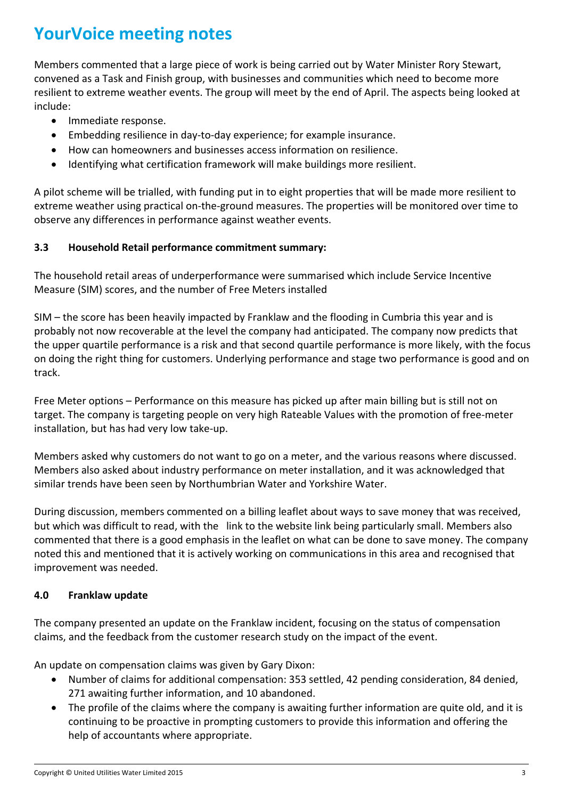Members commented that a large piece of work is being carried out by Water Minister Rory Stewart, convened as a Task and Finish group, with businesses and communities which need to become more resilient to extreme weather events. The group will meet by the end of April. The aspects being looked at include:

- Immediate response.
- Embedding resilience in day-to-day experience; for example insurance.
- How can homeowners and businesses access information on resilience.
- Identifying what certification framework will make buildings more resilient.

A pilot scheme will be trialled, with funding put in to eight properties that will be made more resilient to extreme weather using practical on-the-ground measures. The properties will be monitored over time to observe any differences in performance against weather events.

#### **3.3 Household Retail performance commitment summary:**

The household retail areas of underperformance were summarised which include Service Incentive Measure (SIM) scores, and the number of Free Meters installed

SIM – the score has been heavily impacted by Franklaw and the flooding in Cumbria this year and is probably not now recoverable at the level the company had anticipated. The company now predicts that the upper quartile performance is a risk and that second quartile performance is more likely, with the focus on doing the right thing for customers. Underlying performance and stage two performance is good and on track.

Free Meter options – Performance on this measure has picked up after main billing but is still not on target. The company is targeting people on very high Rateable Values with the promotion of free-meter installation, but has had very low take-up.

Members asked why customers do not want to go on a meter, and the various reasons where discussed. Members also asked about industry performance on meter installation, and it was acknowledged that similar trends have been seen by Northumbrian Water and Yorkshire Water.

During discussion, members commented on a billing leaflet about ways to save money that was received, but which was difficult to read, with the link to the website link being particularly small. Members also commented that there is a good emphasis in the leaflet on what can be done to save money. The company noted this and mentioned that it is actively working on communications in this area and recognised that improvement was needed.

#### **4.0 Franklaw update**

The company presented an update on the Franklaw incident, focusing on the status of compensation claims, and the feedback from the customer research study on the impact of the event.

An update on compensation claims was given by Gary Dixon:

- Number of claims for additional compensation: 353 settled, 42 pending consideration, 84 denied, 271 awaiting further information, and 10 abandoned.
- The profile of the claims where the company is awaiting further information are quite old, and it is continuing to be proactive in prompting customers to provide this information and offering the help of accountants where appropriate.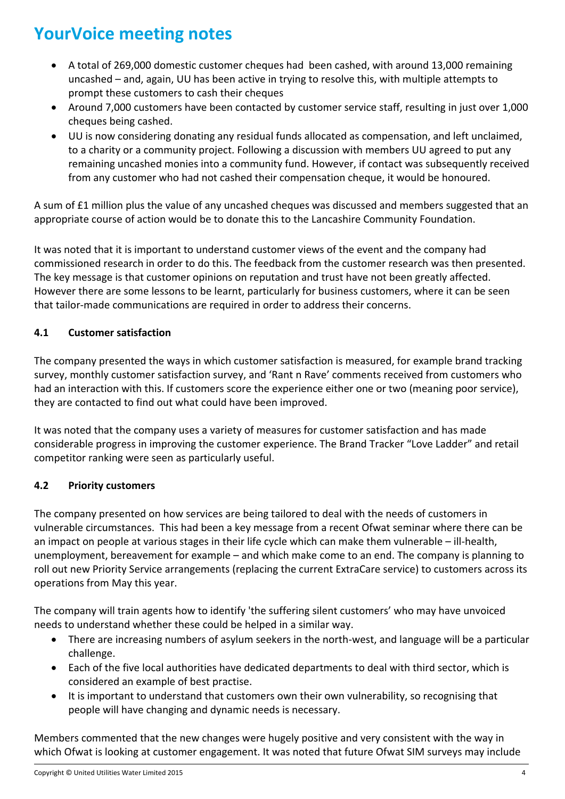- A total of 269,000 domestic customer cheques had been cashed, with around 13,000 remaining uncashed – and, again, UU has been active in trying to resolve this, with multiple attempts to prompt these customers to cash their cheques
- Around 7,000 customers have been contacted by customer service staff, resulting in just over 1,000 cheques being cashed.
- UU is now considering donating any residual funds allocated as compensation, and left unclaimed, to a charity or a community project. Following a discussion with members UU agreed to put any remaining uncashed monies into a community fund. However, if contact was subsequently received from any customer who had not cashed their compensation cheque, it would be honoured.

A sum of £1 million plus the value of any uncashed cheques was discussed and members suggested that an appropriate course of action would be to donate this to the Lancashire Community Foundation.

It was noted that it is important to understand customer views of the event and the company had commissioned research in order to do this. The feedback from the customer research was then presented. The key message is that customer opinions on reputation and trust have not been greatly affected. However there are some lessons to be learnt, particularly for business customers, where it can be seen that tailor-made communications are required in order to address their concerns.

#### **4.1 Customer satisfaction**

The company presented the ways in which customer satisfaction is measured, for example brand tracking survey, monthly customer satisfaction survey, and 'Rant n Rave' comments received from customers who had an interaction with this. If customers score the experience either one or two (meaning poor service), they are contacted to find out what could have been improved.

It was noted that the company uses a variety of measures for customer satisfaction and has made considerable progress in improving the customer experience. The Brand Tracker "Love Ladder" and retail competitor ranking were seen as particularly useful.

#### **4.2 Priority customers**

The company presented on how services are being tailored to deal with the needs of customers in vulnerable circumstances. This had been a key message from a recent Ofwat seminar where there can be an impact on people at various stages in their life cycle which can make them vulnerable – ill-health, unemployment, bereavement for example – and which make come to an end. The company is planning to roll out new Priority Service arrangements (replacing the current ExtraCare service) to customers across its operations from May this year.

The company will train agents how to identify 'the suffering silent customers' who may have unvoiced needs to understand whether these could be helped in a similar way.

- There are increasing numbers of asylum seekers in the north-west, and language will be a particular challenge.
- Each of the five local authorities have dedicated departments to deal with third sector, which is considered an example of best practise.
- It is important to understand that customers own their own vulnerability, so recognising that people will have changing and dynamic needs is necessary.

Members commented that the new changes were hugely positive and very consistent with the way in which Ofwat is looking at customer engagement. It was noted that future Ofwat SIM surveys may include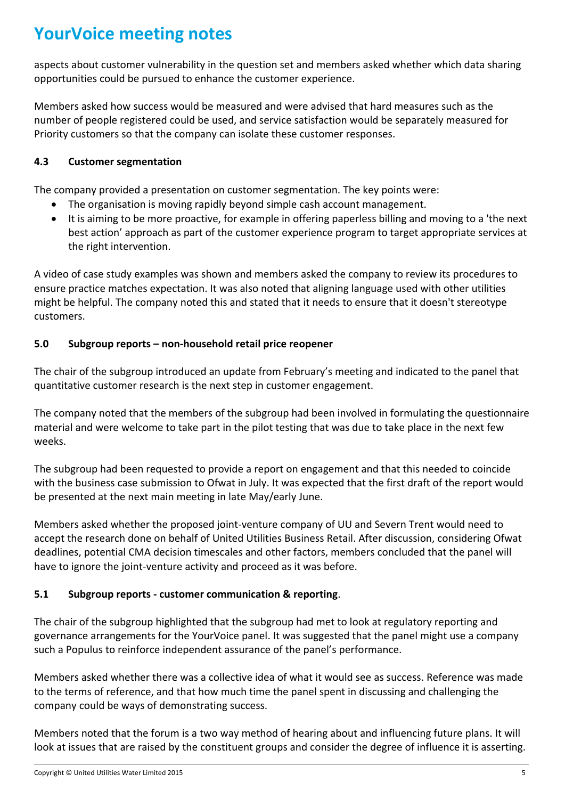aspects about customer vulnerability in the question set and members asked whether which data sharing opportunities could be pursued to enhance the customer experience.

Members asked how success would be measured and were advised that hard measures such as the number of people registered could be used, and service satisfaction would be separately measured for Priority customers so that the company can isolate these customer responses.

#### **4.3 Customer segmentation**

The company provided a presentation on customer segmentation. The key points were:

- The organisation is moving rapidly beyond simple cash account management.
- It is aiming to be more proactive, for example in offering paperless billing and moving to a 'the next best action' approach as part of the customer experience program to target appropriate services at the right intervention.

A video of case study examples was shown and members asked the company to review its procedures to ensure practice matches expectation. It was also noted that aligning language used with other utilities might be helpful. The company noted this and stated that it needs to ensure that it doesn't stereotype customers.

#### **5.0 Subgroup reports – non-household retail price reopener**

The chair of the subgroup introduced an update from February's meeting and indicated to the panel that quantitative customer research is the next step in customer engagement.

The company noted that the members of the subgroup had been involved in formulating the questionnaire material and were welcome to take part in the pilot testing that was due to take place in the next few weeks.

The subgroup had been requested to provide a report on engagement and that this needed to coincide with the business case submission to Ofwat in July. It was expected that the first draft of the report would be presented at the next main meeting in late May/early June.

Members asked whether the proposed joint-venture company of UU and Severn Trent would need to accept the research done on behalf of United Utilities Business Retail. After discussion, considering Ofwat deadlines, potential CMA decision timescales and other factors, members concluded that the panel will have to ignore the joint-venture activity and proceed as it was before.

#### **5.1 Subgroup reports - customer communication & reporting**.

The chair of the subgroup highlighted that the subgroup had met to look at regulatory reporting and governance arrangements for the YourVoice panel. It was suggested that the panel might use a company such a Populus to reinforce independent assurance of the panel's performance.

Members asked whether there was a collective idea of what it would see as success. Reference was made to the terms of reference, and that how much time the panel spent in discussing and challenging the company could be ways of demonstrating success.

Members noted that the forum is a two way method of hearing about and influencing future plans. It will look at issues that are raised by the constituent groups and consider the degree of influence it is asserting.